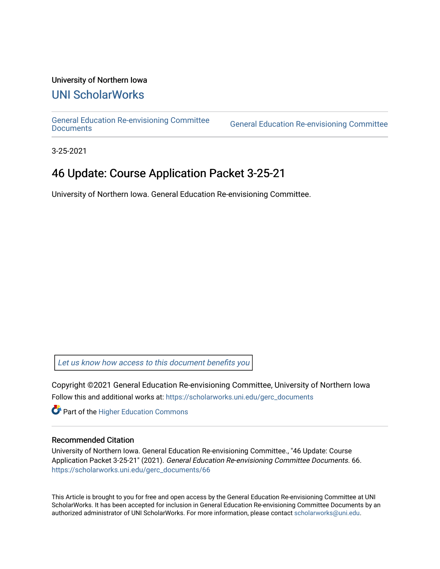#### University of Northern Iowa

## [UNI ScholarWorks](https://scholarworks.uni.edu/)

[General Education Re-envisioning Committee](https://scholarworks.uni.edu/gerc_documents) 

**General Education Re-envisioning Committee** 

3-25-2021

# 46 Update: Course Application Packet 3-25-21

University of Northern Iowa. General Education Re-envisioning Committee.

[Let us know how access to this document benefits you](https://scholarworks.uni.edu/feedback_form.html) 

Copyright ©2021 General Education Re-envisioning Committee, University of Northern Iowa Follow this and additional works at: [https://scholarworks.uni.edu/gerc\\_documents](https://scholarworks.uni.edu/gerc_documents?utm_source=scholarworks.uni.edu%2Fgerc_documents%2F66&utm_medium=PDF&utm_campaign=PDFCoverPages)

**Part of the Higher Education Commons** 

#### Recommended Citation

University of Northern Iowa. General Education Re-envisioning Committee., "46 Update: Course Application Packet 3-25-21" (2021). General Education Re-envisioning Committee Documents. 66. [https://scholarworks.uni.edu/gerc\\_documents/66](https://scholarworks.uni.edu/gerc_documents/66?utm_source=scholarworks.uni.edu%2Fgerc_documents%2F66&utm_medium=PDF&utm_campaign=PDFCoverPages) 

This Article is brought to you for free and open access by the General Education Re-envisioning Committee at UNI ScholarWorks. It has been accepted for inclusion in General Education Re-envisioning Committee Documents by an authorized administrator of UNI ScholarWorks. For more information, please contact [scholarworks@uni.edu.](mailto:scholarworks@uni.edu)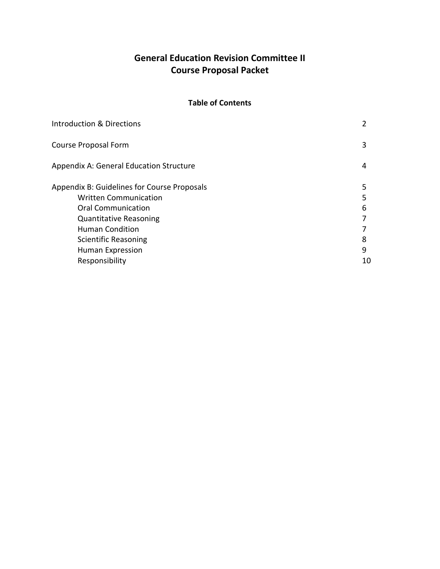## **General Education Revision Committee II Course Proposal Packet**

#### **Table of Contents**

| <b>Introduction &amp; Directions</b>           |    |
|------------------------------------------------|----|
| Course Proposal Form                           | 3  |
| <b>Appendix A: General Education Structure</b> | 4  |
| Appendix B: Guidelines for Course Proposals    | 5  |
| <b>Written Communication</b>                   | 5  |
| <b>Oral Communication</b>                      | 6  |
| <b>Quantitative Reasoning</b>                  |    |
| Human Condition                                |    |
| Scientific Reasoning                           | 8  |
| <b>Human Expression</b>                        | 9  |
| Responsibility                                 | 10 |
|                                                |    |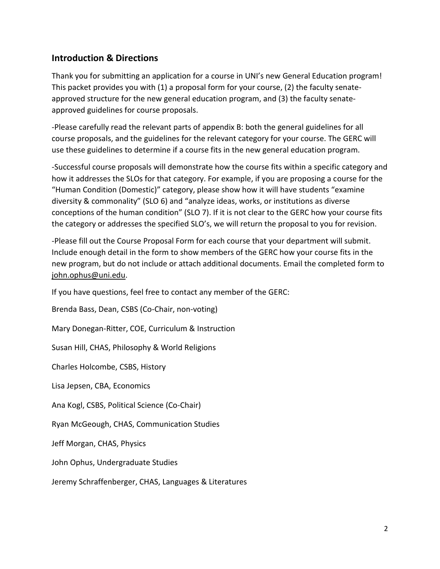### **Introduction & Directions**

Thank you for submitting an application for a course in UNI's new General Education program! This packet provides you with (1) a proposal form for your course, (2) the faculty senateapproved structure for the new general education program, and (3) the faculty senateapproved guidelines for course proposals.

-Please carefully read the relevant parts of appendix B: both the general guidelines for all course proposals, and the guidelines for the relevant category for your course. The GERC will use these guidelines to determine if a course fits in the new general education program.

-Successful course proposals will demonstrate how the course fits within a specific category and how it addresses the SLOs for that category. For example, if you are proposing a course for the "Human Condition (Domestic)" category, please show how it will have students "examine diversity & commonality" (SLO 6) and "analyze ideas, works, or institutions as diverse conceptions of the human condition" (SLO 7). If it is not clear to the GERC how your course fits the category or addresses the specified SLO's, we will return the proposal to you for revision.

-Please fill out the Course Proposal Form for each course that your department will submit. Include enough detail in the form to show members of the GERC how your course fits in the new program, but do not include or attach additional documents. Email the completed form to [john.ophus@uni.edu.](mailto:john.ophus@uni.edu)

If you have questions, feel free to contact any member of the GERC:

Brenda Bass, Dean, CSBS (Co-Chair, non-voting)

Mary Donegan-Ritter, COE, Curriculum & Instruction

Susan Hill, CHAS, Philosophy & World Religions

Charles Holcombe, CSBS, History

Lisa Jepsen, CBA, Economics

Ana Kogl, CSBS, Political Science (Co-Chair)

Ryan McGeough, CHAS, Communication Studies

Jeff Morgan, CHAS, Physics

John Ophus, Undergraduate Studies

Jeremy Schraffenberger, CHAS, Languages & Literatures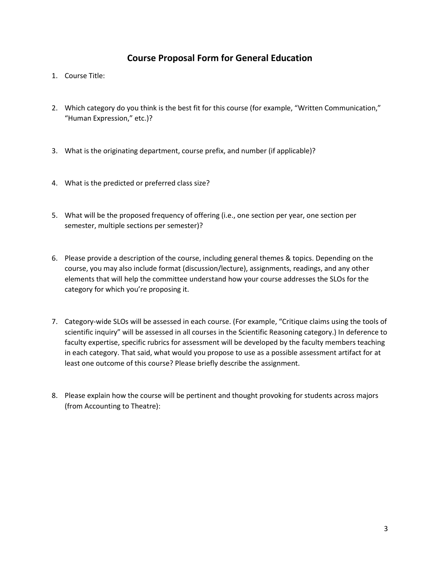#### **Course Proposal Form for General Education**

- 1. Course Title:
- 2. Which category do you think is the best fit for this course (for example, "Written Communication," "Human Expression," etc.)?
- 3. What is the originating department, course prefix, and number (if applicable)?
- 4. What is the predicted or preferred class size?
- 5. What will be the proposed frequency of offering (i.e., one section per year, one section per semester, multiple sections per semester)?
- 6. Please provide a description of the course, including general themes & topics. Depending on the course, you may also include format (discussion/lecture), assignments, readings, and any other elements that will help the committee understand how your course addresses the SLOs for the category for which you're proposing it.
- 7. Category-wide SLOs will be assessed in each course. (For example, "Critique claims using the tools of scientific inquiry" will be assessed in all courses in the Scientific Reasoning category.) In deference to faculty expertise, specific rubrics for assessment will be developed by the faculty members teaching in each category. That said, what would you propose to use as a possible assessment artifact for at least one outcome of this course? Please briefly describe the assignment.
- 8. Please explain how the course will be pertinent and thought provoking for students across majors (from Accounting to Theatre):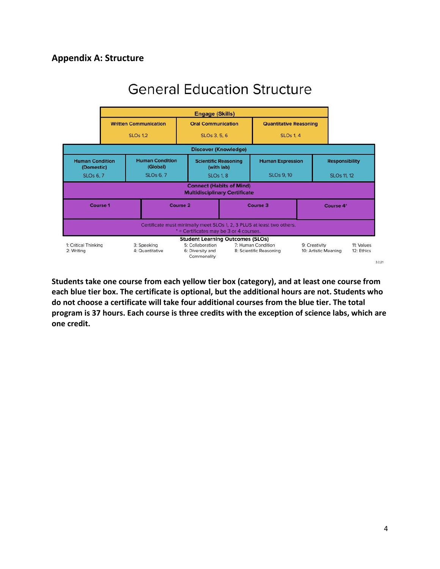

# **General Education Structure**

**Students take one course from each yellow tier box (category), and at least one course from each blue tier box. The certificate is optional, but the additional hours are not. Students who do not choose a certificate will take four additional courses from the blue tier. The total program is 37 hours. Each course is three credits with the exception of science labs, which are one credit.**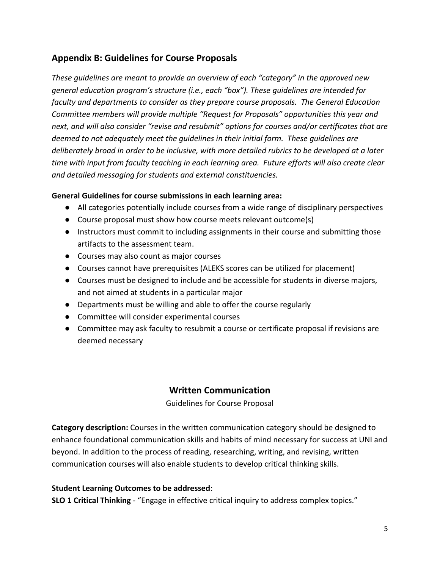## **Appendix B: Guidelines for Course Proposals**

*These guidelines are meant to provide an overview of each "category" in the approved new general education program's structure (i.e., each "box"). These guidelines are intended for faculty and departments to consider as they prepare course proposals. The General Education Committee members will provide multiple "Request for Proposals" opportunities this year and next, and will also consider "revise and resubmit" options for courses and/or certificates that are deemed to not adequately meet the guidelines in their initial form. These guidelines are deliberately broad in order to be inclusive, with more detailed rubrics to be developed at a later time with input from faculty teaching in each learning area. Future efforts will also create clear and detailed messaging for students and external constituencies.* 

#### **General Guidelines for course submissions in each learning area:**

- All categories potentially include courses from a wide range of disciplinary perspectives
- Course proposal must show how course meets relevant outcome(s)
- Instructors must commit to including assignments in their course and submitting those artifacts to the assessment team.
- Courses may also count as major courses
- Courses cannot have prerequisites (ALEKS scores can be utilized for placement)
- Courses must be designed to include and be accessible for students in diverse majors, and not aimed at students in a particular major
- Departments must be willing and able to offer the course regularly
- Committee will consider experimental courses
- Committee may ask faculty to resubmit a course or certificate proposal if revisions are deemed necessary

### **Written Communication**

Guidelines for Course Proposal

**Category description:** Courses in the written communication category should be designed to enhance foundational communication skills and habits of mind necessary for success at UNI and beyond. In addition to the process of reading, researching, writing, and revising, written communication courses will also enable students to develop critical thinking skills.

#### **Student Learning Outcomes to be addressed**:

**SLO 1 Critical Thinking** - "Engage in effective critical inquiry to address complex topics."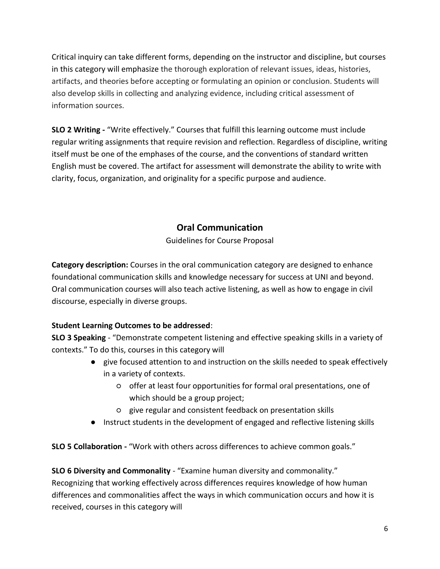Critical inquiry can take different forms, depending on the instructor and discipline, but courses in this category will emphasize the thorough exploration of relevant issues, ideas, histories, artifacts, and theories before accepting or formulating an opinion or conclusion. Students will also develop skills in collecting and analyzing evidence, including critical assessment of information sources.

**SLO 2 Writing -** "Write effectively." Courses that fulfill this learning outcome must include regular writing assignments that require revision and reflection. Regardless of discipline, writing itself must be one of the emphases of the course, and the conventions of standard written English must be covered. The artifact for assessment will demonstrate the ability to write with clarity, focus, organization, and originality for a specific purpose and audience.

## **Oral Communication**

Guidelines for Course Proposal

**Category description:** Courses in the oral communication category are designed to enhance foundational communication skills and knowledge necessary for success at UNI and beyond. Oral communication courses will also teach active listening, as well as how to engage in civil discourse, especially in diverse groups.

#### **Student Learning Outcomes to be addressed**:

**SLO 3 Speaking** - "Demonstrate competent listening and effective speaking skills in a variety of contexts." To do this, courses in this category will

- give focused attention to and instruction on the skills needed to speak effectively in a variety of contexts.
	- offer at least four opportunities for formal oral presentations, one of which should be a group project;
	- give regular and consistent feedback on presentation skills
- Instruct students in the development of engaged and reflective listening skills

**SLO 5 Collaboration -** "Work with others across differences to achieve common goals."

**SLO 6 Diversity and Commonality** - "Examine human diversity and commonality." Recognizing that working effectively across differences requires knowledge of how human differences and commonalities affect the ways in which communication occurs and how it is received, courses in this category will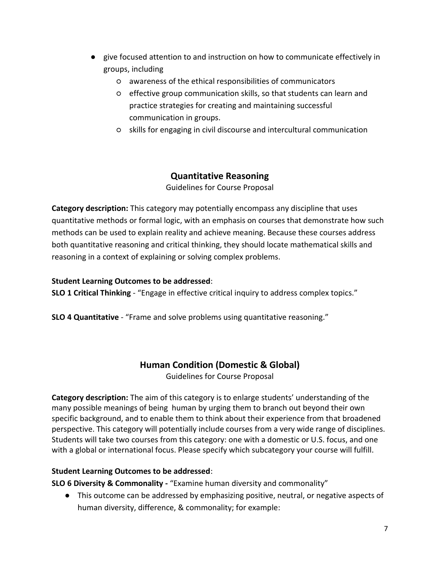- give focused attention to and instruction on how to communicate effectively in groups, including
	- awareness of the ethical responsibilities of communicators
	- effective group communication skills, so that students can learn and practice strategies for creating and maintaining successful communication in groups.
	- skills for engaging in civil discourse and intercultural communication

## **Quantitative Reasoning**

Guidelines for Course Proposal

**Category description:** This category may potentially encompass any discipline that uses quantitative methods or formal logic, with an emphasis on courses that demonstrate how such methods can be used to explain reality and achieve meaning. Because these courses address both quantitative reasoning and critical thinking, they should locate mathematical skills and reasoning in a context of explaining or solving complex problems.

#### **Student Learning Outcomes to be addressed**:

**SLO 1 Critical Thinking** - "Engage in effective critical inquiry to address complex topics."

**SLO 4 Quantitative** - "Frame and solve problems using quantitative reasoning."

## **Human Condition (Domestic & Global)**

Guidelines for Course Proposal

**Category description:** The aim of this category is to enlarge students' understanding of the many possible meanings of being human by urging them to branch out beyond their own specific background, and to enable them to think about their experience from that broadened perspective. This category will potentially include courses from a very wide range of disciplines. Students will take two courses from this category: one with a domestic or U.S. focus, and one with a global or international focus. Please specify which subcategory your course will fulfill.

#### **Student Learning Outcomes to be addressed**:

**SLO 6 Diversity & Commonality -** "Examine human diversity and commonality"

● This outcome can be addressed by emphasizing positive, neutral, or negative aspects of human diversity, difference, & commonality; for example: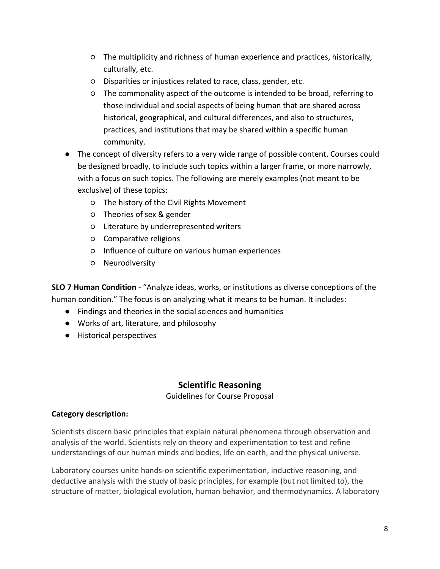- The multiplicity and richness of human experience and practices, historically, culturally, etc.
- Disparities or injustices related to race, class, gender, etc.
- The commonality aspect of the outcome is intended to be broad, referring to those individual and social aspects of being human that are shared across historical, geographical, and cultural differences, and also to structures, practices, and institutions that may be shared within a specific human community.
- The concept of diversity refers to a very wide range of possible content. Courses could be designed broadly, to include such topics within a larger frame, or more narrowly, with a focus on such topics. The following are merely examples (not meant to be exclusive) of these topics:
	- The history of the Civil Rights Movement
	- Theories of sex & gender
	- Literature by underrepresented writers
	- Comparative religions
	- Influence of culture on various human experiences
	- Neurodiversity

**SLO 7 Human Condition** - "Analyze ideas, works, or institutions as diverse conceptions of the human condition." The focus is on analyzing what it means to be human. It includes:

- Findings and theories in the social sciences and humanities
- Works of art, literature, and philosophy
- Historical perspectives

### **Scientific Reasoning**

Guidelines for Course Proposal

#### **Category description:**

Scientists discern basic principles that explain natural phenomena through observation and analysis of the world. Scientists rely on theory and experimentation to test and refine understandings of our human minds and bodies, life on earth, and the physical universe.

Laboratory courses unite hands-on scientific experimentation, inductive reasoning, and deductive analysis with the study of basic principles, for example (but not limited to), the structure of matter, biological evolution, human behavior, and thermodynamics. A laboratory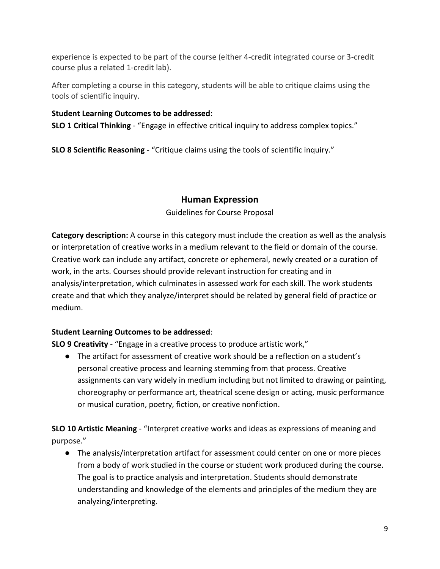experience is expected to be part of the course (either 4-credit integrated course or 3-credit course plus a related 1-credit lab).

After completing a course in this category, students will be able to critique claims using the tools of scientific inquiry.

#### **Student Learning Outcomes to be addressed**:

**SLO 1 Critical Thinking** - "Engage in effective critical inquiry to address complex topics."

**SLO 8 Scientific Reasoning** - "Critique claims using the tools of scientific inquiry."

#### **Human Expression**

Guidelines for Course Proposal

**Category description:** A course in this category must include the creation as well as the analysis or interpretation of creative works in a medium relevant to the field or domain of the course. Creative work can include any artifact, concrete or ephemeral, newly created or a curation of work, in the arts. Courses should provide relevant instruction for creating and in analysis/interpretation, which culminates in assessed work for each skill. The work students create and that which they analyze/interpret should be related by general field of practice or medium.

#### **Student Learning Outcomes to be addressed**:

**SLO 9 Creativity** - "Engage in a creative process to produce artistic work,"

● The artifact for assessment of creative work should be a reflection on a student's personal creative process and learning stemming from that process. Creative assignments can vary widely in medium including but not limited to drawing or painting, choreography or performance art, theatrical scene design or acting, music performance or musical curation, poetry, fiction, or creative nonfiction.

**SLO 10 Artistic Meaning** - "Interpret creative works and ideas as expressions of meaning and purpose."

● The analysis/interpretation artifact for assessment could center on one or more pieces from a body of work studied in the course or student work produced during the course. The goal is to practice analysis and interpretation. Students should demonstrate understanding and knowledge of the elements and principles of the medium they are analyzing/interpreting.